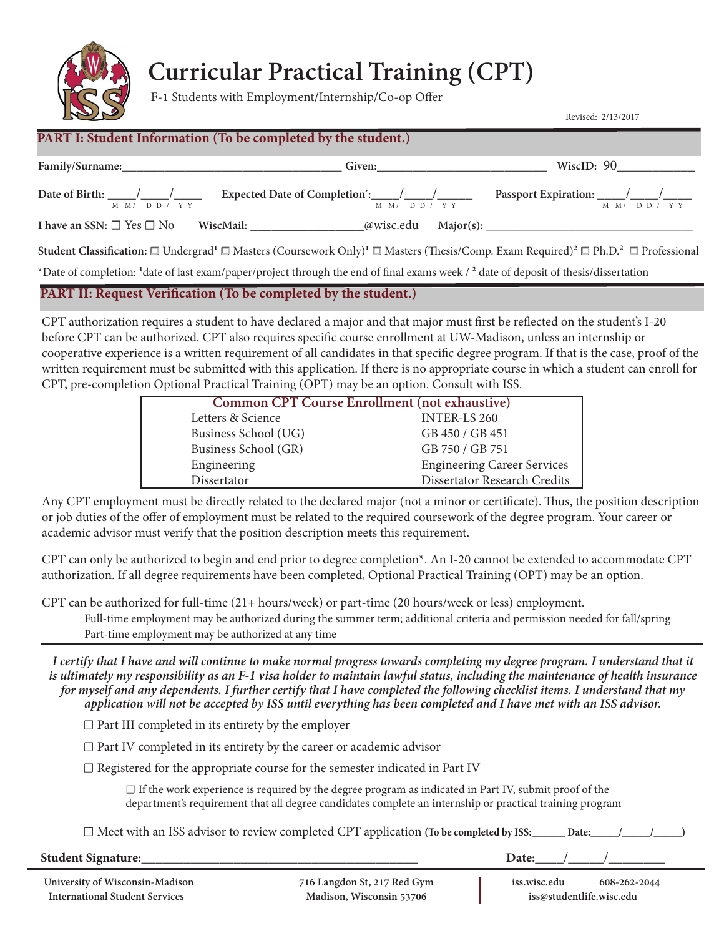

# **Curricular Practical Training (CPT)**

F-1 Students with Employment/Internship/Co-op Offer

Revised: 2/13/2017

### **PART I: Student Information (To be completed by the student.)**

| Family/Surname:                           |                                            |           | Given:                            | WiscID: $90$                              |                              |
|-------------------------------------------|--------------------------------------------|-----------|-----------------------------------|-------------------------------------------|------------------------------|
| Date of Birth:                            | $\sqrt{1}$<br>$M$ $M/$ $D$ $D$ $/$ $Y$ $Y$ |           | $M$ $M/$ $D$ $D$ $/$ $Y$ $Y$      | Passport Expiration: $\frac{\sqrt{2}}{2}$ | $M$ $M/$ $D$ $D$ $/$ $Y$ $Y$ |
| I have an SSN: $\square$ Yes $\square$ No |                                            | WiscMail: | <i><b>@wisc.edu</b></i> Major(s): |                                           |                              |

**Student Classification:** *☐* Undergrad**1** *☐* Masters (Coursework Only)**1** *☐* Masters (Thesis/Comp. Exam Required)2 *☐* Ph.D.2 *☐* Professional

\*Date of completion: **1**date of last exam/paper/project through the end of final exams week / 2 date of deposit of thesis/dissertation

#### **PART II: Request Verification (To be completed by the student.)**

CPT authorization requires a student to have declared a major and that major must first be reflected on the student's I-20 before CPT can be authorized. CPT also requires specific course enrollment at UW-Madison, unless an internship or cooperative experience is a written requirement of all candidates in that specific degree program. If that is the case, proof of the written requirement must be submitted with this application. If there is no appropriate course in which a student can enroll for CPT, pre-completion Optional Practical Training (OPT) may be an option. Consult with ISS.

| <b>Common CPT Course Enrollment (not exhaustive)</b> |                                    |
|------------------------------------------------------|------------------------------------|
| Letters & Science                                    | <b>INTER-LS 260</b>                |
| Business School (UG)                                 | GB 450 / GB 451                    |
| Business School (GR)                                 | GB 750 / GB 751                    |
| Engineering                                          | <b>Engineering Career Services</b> |
| Dissertator                                          | Dissertator Research Credits       |
|                                                      |                                    |

Any CPT employment must be directly related to the declared major (not a minor or certificate). Thus, the position description or job duties of the offer of employment must be related to the required coursework of the degree program. Your career or academic advisor must verify that the position description meets this requirement.

CPT can only be authorized to begin and end prior to degree completion\*. An I-20 cannot be extended to accommodate CPT authorization. If all degree requirements have been completed, Optional Practical Training (OPT) may be an option.

CPT can be authorized for full-time (21+ hours/week) or part-time (20 hours/week or less) employment.

Full-time employment may be authorized during the summer term; additional criteria and permission needed for fall/spring Part-time employment may be authorized at any time

*I certify that I have and will continue to make normal progress towards completing my degree program. I understand that it is ultimately my responsibility as an F-1 visa holder to maintain lawful status, including the maintenance of health insurance for myself and any dependents. I further certify that I have completed the following checklist items. I understand that my application will not be accepted by ISS until everything has been completed and I have met with an ISS advisor.*

*☐* Part III completed in its entirety by the employer

*☐* Part IV completed in its entirety by the career or academic advisor

*☐* Registered for the appropriate course for the semester indicated in Part IV

 *☐* If the work experience is required by the degree program as indicated in Part IV, submit proof of the department's requirement that all degree candidates complete an internship or practical training program

*☐* Meet with an ISS advisor to review completed CPT application **(To be completed by ISS:\_\_\_\_\_\_ Date:\_\_\_\_\_/\_\_\_\_\_/\_\_\_\_\_)**

**Student Signature:**\_\_\_\_\_\_\_\_\_\_\_\_\_\_\_\_\_\_\_\_\_\_\_\_\_\_\_\_\_\_\_\_\_\_\_\_\_\_\_ **Date:**\_\_\_\_/\_\_\_\_\_/\_\_\_\_\_\_\_\_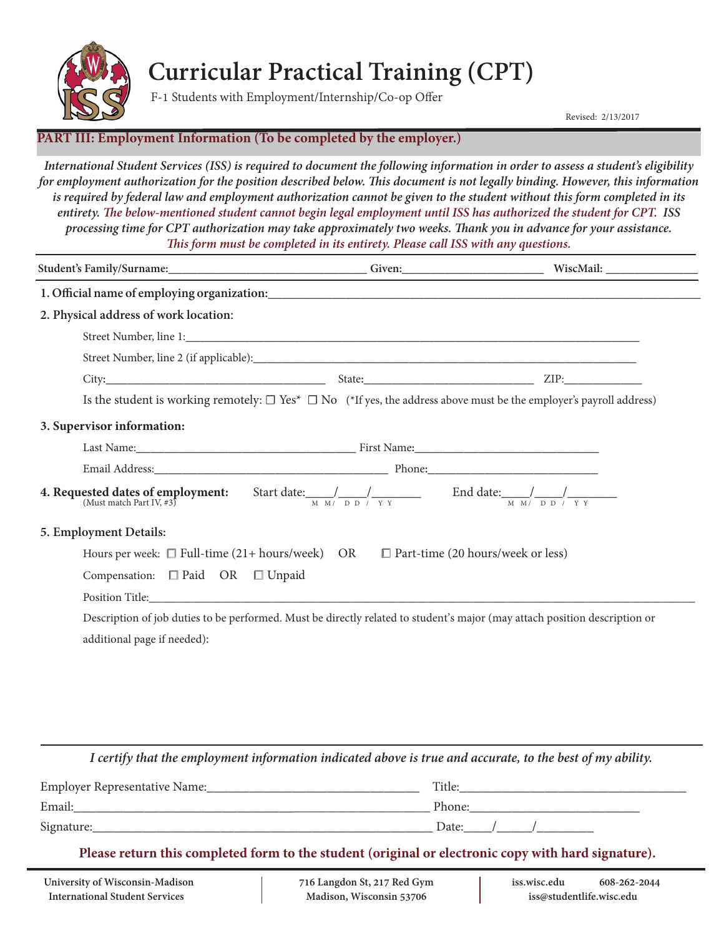

### **Curricular Practical Training (CPT)**

F-1 Students with Employment/Internship/Co-op Offer

Revised: 2/13/2017

#### **PART III: Employment Information (To be completed by the employer.)**

*International Student Services (ISS) is required to document the following information in order to assess a student's eligibility for employment authorization for the position described below. This document is not legally binding. However, this information is required by federal law and employment authorization cannot be given to the student without this form completed in its entirety. The below-mentioned student cannot begin legal employment until ISS has authorized the student for CPT. ISS processing time for CPT authorization may take approximately two weeks. Thank you in advance for your assistance. This form must be completed in its entirety. Please call ISS with any questions.*

| Student's Family/Surname:___________________________________Given:__________________________________WiscMail: _________________________                              |  |  |  |  |
|----------------------------------------------------------------------------------------------------------------------------------------------------------------------|--|--|--|--|
|                                                                                                                                                                      |  |  |  |  |
| 2. Physical address of work location:                                                                                                                                |  |  |  |  |
|                                                                                                                                                                      |  |  |  |  |
|                                                                                                                                                                      |  |  |  |  |
|                                                                                                                                                                      |  |  |  |  |
| Is the student is working remotely: $\Box$ Yes* $\Box$ No (*If yes, the address above must be the employer's payroll address)                                        |  |  |  |  |
| 3. Supervisor information:                                                                                                                                           |  |  |  |  |
|                                                                                                                                                                      |  |  |  |  |
|                                                                                                                                                                      |  |  |  |  |
| <b>4. Requested dates of employment:</b> Start date: $\frac{1}{M M} \frac{1}{M M} \frac{1}{D D} \frac{1}{N Y}$ End date: $\frac{1}{M M} \frac{1}{D D} \frac{1}{N Y}$ |  |  |  |  |
| 5. Employment Details:                                                                                                                                               |  |  |  |  |
| Hours per week: $\Box$ Full-time (21+ hours/week) OR $\Box$ Part-time (20 hours/week or less)                                                                        |  |  |  |  |
| Compensation: □ Paid OR □ Unpaid                                                                                                                                     |  |  |  |  |
|                                                                                                                                                                      |  |  |  |  |
| Description of job duties to be performed. Must be directly related to student's major (may attach position description or                                           |  |  |  |  |
| additional page if needed):                                                                                                                                          |  |  |  |  |
|                                                                                                                                                                      |  |  |  |  |

*I certify that the employment information indicated above is true and accurate, to the best of my ability.*

| Employer Representative Name:_ | Title: |
|--------------------------------|--------|
| Email:                         | Phone: |
| Signature:                     | Date:  |

**Please return this completed form to the student (original or electronic copy with hard signature).**